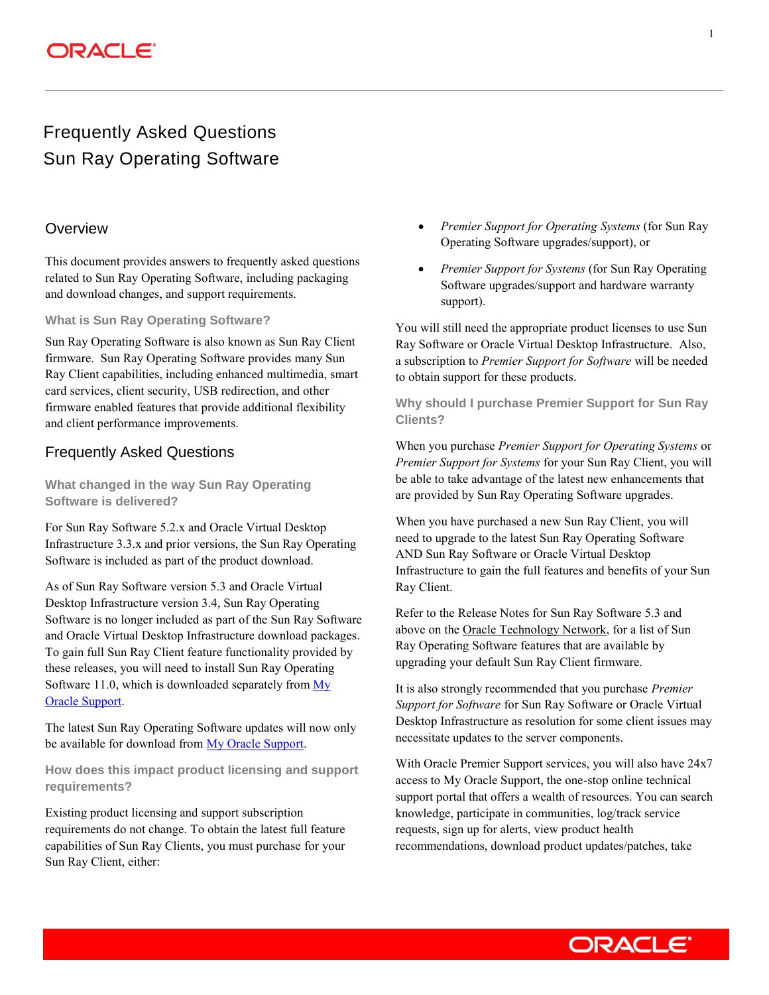### **ORACLE**®

## Frequently Asked Questions Sun Ray Operating Software

### **Overview**

This document provides answers to frequently asked questions related to Sun Ray Operating Software, including packaging and download changes, and support requirements.

#### **What is Sun Ray Operating Software?**

Sun Ray Operating Software is also known as Sun Ray Client firmware. Sun Ray Operating Software provides many Sun Ray Client capabilities, including enhanced multimedia, smart card services, client security, USB redirection, and other firmware enabled features that provide additional flexibility and client performance improvements.

### Frequently Asked Questions

**What changed in the way Sun Ray Operating Software is delivered?**

For Sun Ray Software 5.2.x and Oracle Virtual Desktop Infrastructure 3.3.x and prior versions, the Sun Ray Operating Software is included as part of the product download.

As of Sun Ray Software version 5.3 and Oracle Virtual Desktop Infrastructure version 3.4, Sun Ray Operating Software is no longer included as part of the Sun Ray Software and Oracle Virtual Desktop Infrastructure download packages. To gain full Sun Ray Client feature functionality provided by these releases, you will need to install Sun Ray Operating Software 11.0, which is downloaded separately from  $M_V$ [Oracle Support.](http://support.oracle.com/)

The latest Sun Ray Operating Software updates will now only be available for download from [My Oracle Support.](http://support.oracle.com/)

**How does this impact product licensing and support requirements?**

Existing product licensing and support subscription requirements do not change. To obtain the latest full feature capabilities of Sun Ray Clients, you must purchase for your Sun Ray Client, either:

- *Premier Support for Operating Systems* (for Sun Ray Operating Software upgrades/support), or
- *Premier Support for Systems* (for Sun Ray Operating Software upgrades/support and hardware warranty support).

You will still need the appropriate product licenses to use Sun Ray Software or Oracle Virtual Desktop Infrastructure. Also, a subscription to *Premier Support for Software* will be needed to obtain support for these products.

**Why should I purchase Premier Support for Sun Ray Clients?**

When you purchase *Premier Support for Operating Systems* or *Premier Support for Systems* for your Sun Ray Client, you will be able to take advantage of the latest new enhancements that are provided by Sun Ray Operating Software upgrades.

When you have purchased a new Sun Ray Client, you will need to upgrade to the latest Sun Ray Operating Software AND Sun Ray Software or Oracle Virtual Desktop Infrastructure to gain the full features and benefits of your Sun Ray Client.

Refer to the Release Notes for Sun Ray Software 5.3 and above on th[e Oracle Technology Network,](http://www.oracle.com/technetwork/server-storage/sunrayproducts/docs/index.html) for a list of Sun Ray Operating Software features that are available by upgrading your default Sun Ray Client firmware.

It is also strongly recommended that you purchase *Premier Support for Software* for Sun Ray Software or Oracle Virtual Desktop Infrastructure as resolution for some client issues may necessitate updates to the server components.

With Oracle Premier Support services, you will also have 24x7 access to My Oracle Support, the one-stop online technical support portal that offers a wealth of resources. You can search knowledge, participate in communities, log/track service requests, sign up for alerts, view product health recommendations, download product updates/patches, take

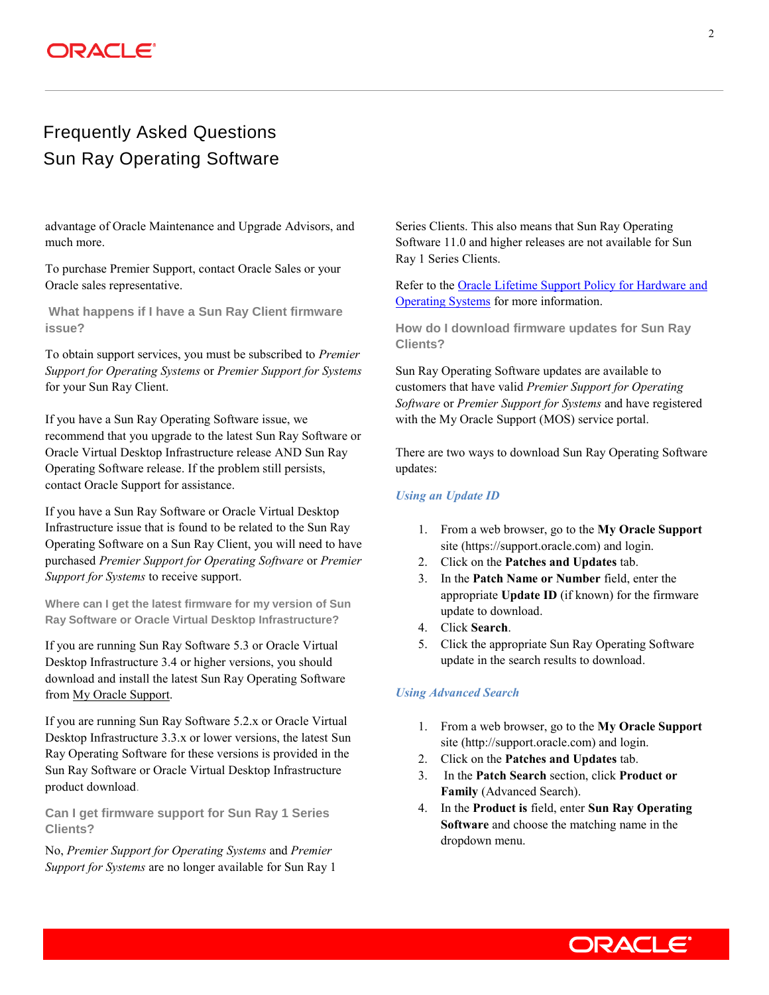## **DRACLE®**

## Frequently Asked Questions Sun Ray Operating Software

advantage of Oracle Maintenance and Upgrade Advisors, and much more.

To purchase Premier Support, contact Oracle Sales or your Oracle sales representative.

**What happens if I have a Sun Ray Client firmware issue?**

To obtain support services, you must be subscribed to *Premier Support for Operating Systems* or *Premier Support for Systems*  for your Sun Ray Client.

If you have a Sun Ray Operating Software issue, we recommend that you upgrade to the latest Sun Ray Software or Oracle Virtual Desktop Infrastructure release AND Sun Ray Operating Software release. If the problem still persists, contact Oracle Support for assistance.

If you have a Sun Ray Software or Oracle Virtual Desktop Infrastructure issue that is found to be related to the Sun Ray Operating Software on a Sun Ray Client, you will need to have purchased *Premier Support for Operating Software* or *Premier Support for Systems* to receive support.

**Where can I get the latest firmware for my version of Sun Ray Software or Oracle Virtual Desktop Infrastructure?**

If you are running Sun Ray Software 5.3 or Oracle Virtual Desktop Infrastructure 3.4 or higher versions, you should download and install the latest Sun Ray Operating Software from [My Oracle Support.](https://support.oracle.com/)

If you are running Sun Ray Software 5.2.x or Oracle Virtual Desktop Infrastructure 3.3.x or lower versions, the latest Sun Ray Operating Software for these versions is provided in the Sun Ray Software or Oracle Virtual Desktop Infrastructure product download.

**Can I get firmware support for Sun Ray 1 Series Clients?**

No, *Premier Support for Operating Systems* and *Premier Support for Systems* are no longer available for Sun Ray 1 Series Clients. This also means that Sun Ray Operating Software 11.0 and higher releases are not available for Sun Ray 1 Series Clients.

Refer to th[e Oracle Lifetime Support Policy for Hardware](http://www.oracle.com/us/support/lifetime-support/index.html) and [Operating Systems](http://www.oracle.com/us/support/lifetime-support/index.html) for more information.

**How do I download firmware updates for Sun Ray Clients?**

Sun Ray Operating Software updates are available to customers that have valid *Premier Support for Operating Software* or *Premier Support for Systems* and have registered with the My Oracle Support (MOS) service portal.

There are two ways to download Sun Ray Operating Software updates:

### *Using an Update ID*

- 1. From a web browser, go to the **My Oracle Support** site (https://support.oracle.com) and login.
- 2. Click on the **Patches and Updates** tab.
- 3. In the **Patch Name or Number** field, enter the appropriate **Update ID** (if known) for the firmware update to download.
- 4. Click **Search**.
- 5. Click the appropriate Sun Ray Operating Software update in the search results to download.

#### *Using Advanced Search*

- 1. From a web browser, go to the **My Oracle Support** site (http://support.oracle.com) and login.
- 2. Click on the **Patches and Updates** tab.
- 3. In the **Patch Search** section, click **Product or Family** (Advanced Search).
- 4. In the **Product is** field, enter **Sun Ray Operating Software** and choose the matching name in the dropdown menu.

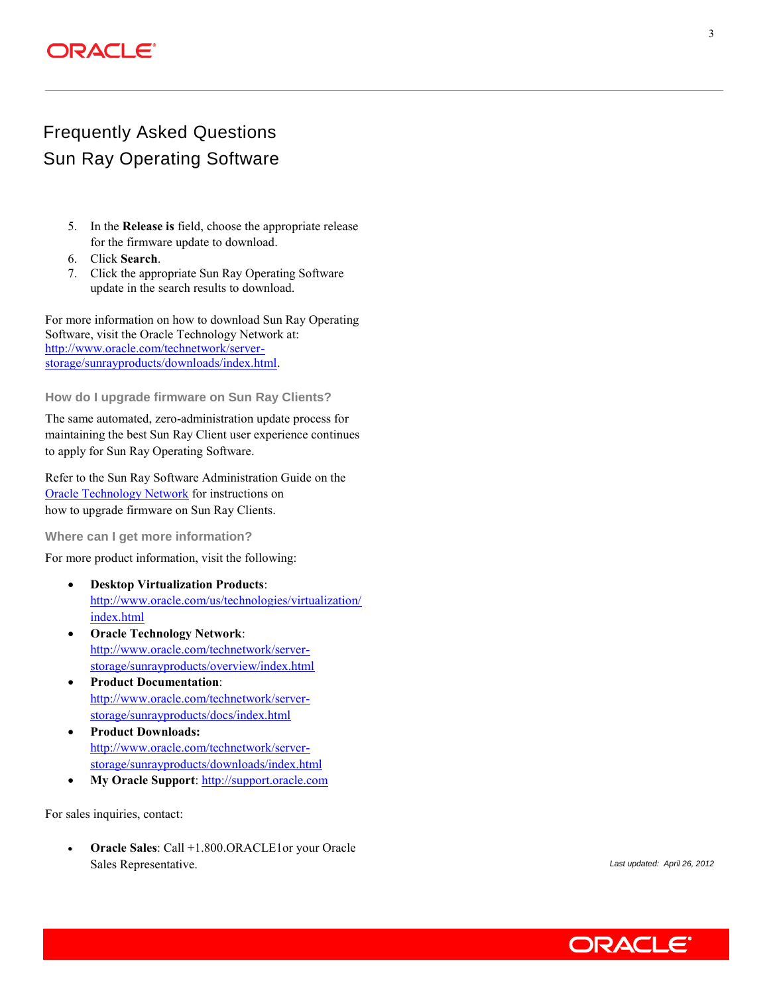## ORACLE

# Frequently Asked Questions Sun Ray Operating Software

- 5. In the **Release is** field, choose the appropriate release for the firmware update to download.
- 6. Click **Search**.
- 7. Click the appropriate Sun Ray Operating Software update in the search results to download.

For more information on how to download Sun Ray Operating Software, visit the Oracle Technology Network at: [http://www.oracle.com/technetwork/server](http://www.oracle.com/technetwork/server-storage/sunrayproducts/downloads/index.html)[storage/sunrayproducts/downloads/index.html.](http://www.oracle.com/technetwork/server-storage/sunrayproducts/downloads/index.html)

### **How do I upgrade firmware on Sun Ray Clients?**

The same automated, zero-administration update process for maintaining the best Sun Ray Client user experience continues to apply for Sun Ray Operating Software.

Refer to the Sun Ray Software Administration Guide on the [Oracle Technology Network](http://www.oracle.com/technetwork/server-storage/sunrayproducts/docs/index.html) for instructions on how to upgrade firmware on Sun Ray Clients.

**Where can I get more information?**

For more product information, visit the following:

- **Desktop Virtualization Products**: [http://www.oracle.com/us/technologies/virtualization/](http://www.oracle.com/us/technologies/virtualization/index.html) [index.html](http://www.oracle.com/us/technologies/virtualization/index.html)
- **Oracle Technology Network**: [http://www.oracle.com/technetwork/server](http://www.oracle.com/technetwork/server-storage/sunrayproducts/overview/index.html)[storage/sunrayproducts/overview/index.html](http://www.oracle.com/technetwork/server-storage/sunrayproducts/overview/index.html)
- **Product Documentation**: [http://www.oracle.com/technetwork/server](http://www.oracle.com/technetwork/server-storage/sunrayproducts/docs/index.html)[storage/sunrayproducts/docs/index.html](http://www.oracle.com/technetwork/server-storage/sunrayproducts/docs/index.html)
- **Product Downloads:** [http://www.oracle.com/technetwork/server](http://www.oracle.com/technetwork/server-storage/sunrayproducts/downloads/index.html)[storage/sunrayproducts/downloads/index.html](http://www.oracle.com/technetwork/server-storage/sunrayproducts/downloads/index.html)
- **My Oracle Support**[: http://support.oracle.com](http://support.oracle.com/)

For sales inquiries, contact:

 **Oracle Sales**: Call +1.800.ORACLE1or your Oracle Sales Representative. *Last updated: April 26, 2012*